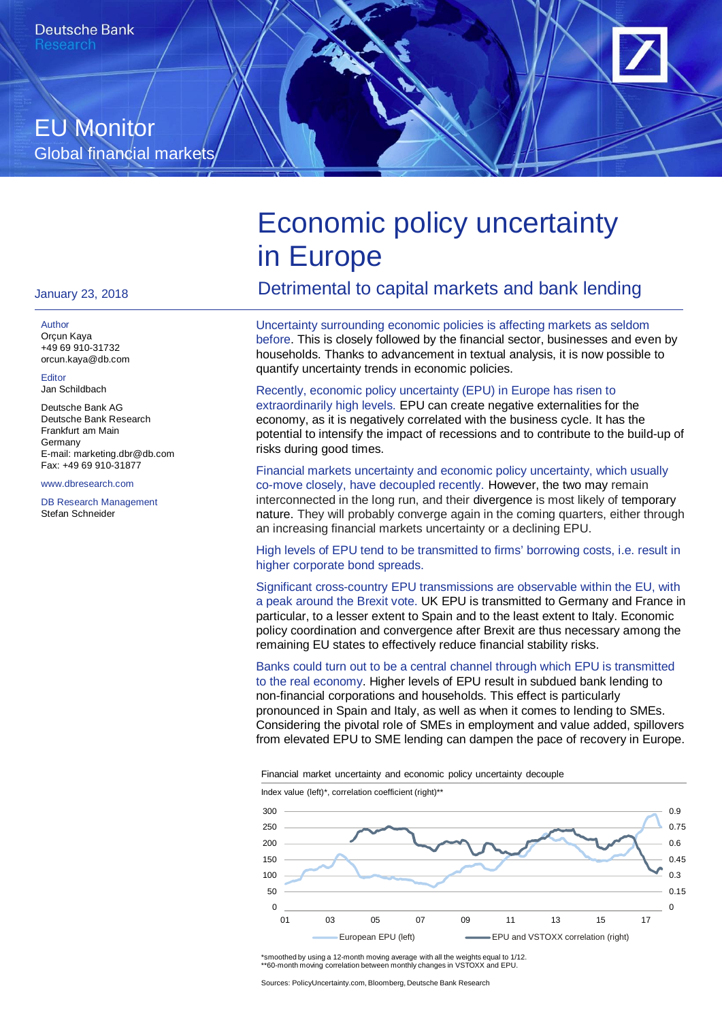# EU Monitor Global financial markets

# Economic policy uncertainty in Europe

# Detrimental to capital markets and bank lending

Uncertainty surrounding economic policies is affecting markets as seldom before. This is closely followed by the financial sector, businesses and even by households. Thanks to advancement in textual analysis, it is now possible to quantify uncertainty trends in economic policies.

Recently, economic policy uncertainty (EPU) in Europe has risen to extraordinarily high levels. EPU can create negative externalities for the economy, as it is negatively correlated with the business cycle. It has the potential to intensify the impact of recessions and to contribute to the build-up of risks during good times.

#### Financial markets uncertainty and economic policy uncertainty, which usually co-move closely, have decoupled recently. However, the two may remain interconnected in the long run, and their divergence is most likely of temporary nature. They will probably converge again in the coming quarters, either through an increasing financial markets uncertainty or a declining EPU.

High levels of EPU tend to be transmitted to firms' borrowing costs, i.e. result in higher corporate bond spreads.

Significant cross-country EPU transmissions are observable within the EU, with a peak around the Brexit vote. UK EPU is transmitted to Germany and France in particular, to a lesser extent to Spain and to the least extent to Italy. Economic policy coordination and convergence after Brexit are thus necessary among the remaining EU states to effectively reduce financial stability risks.

Banks could turn out to be a central channel through which EPU is transmitted to the real economy. Higher levels of EPU result in subdued bank lending to non-financial corporations and households. This effect is particularly pronounced in Spain and Italy, as well as when it comes to lending to SMEs. Considering the pivotal role of SMEs in employment and value added, spillovers from elevated EPU to SME lending can dampen the pace of recovery in Europe.

Financial market uncertainty and economic policy uncertainty decouple

Index value (left)\*, correlation coefficient (right)\*\*



\*smoothed by using a 12-month moving average with all the weights equal to 1/12. \*\*60-month moving correlation between monthly changes in VSTOXX and EPU.

January 23, 2018

#### **Author**

Orçun Kaya +49 69 910-31732 orcun.kaya@db.com

Editor Jan Schildbach

Deutsche Bank AG Deutsche Bank Research Frankfurt am Main Germany E-mail: marketing.dbr@db.com Fax: +49 69 910-31877

www.dbresearch.com

DB Research Management Stefan Schneider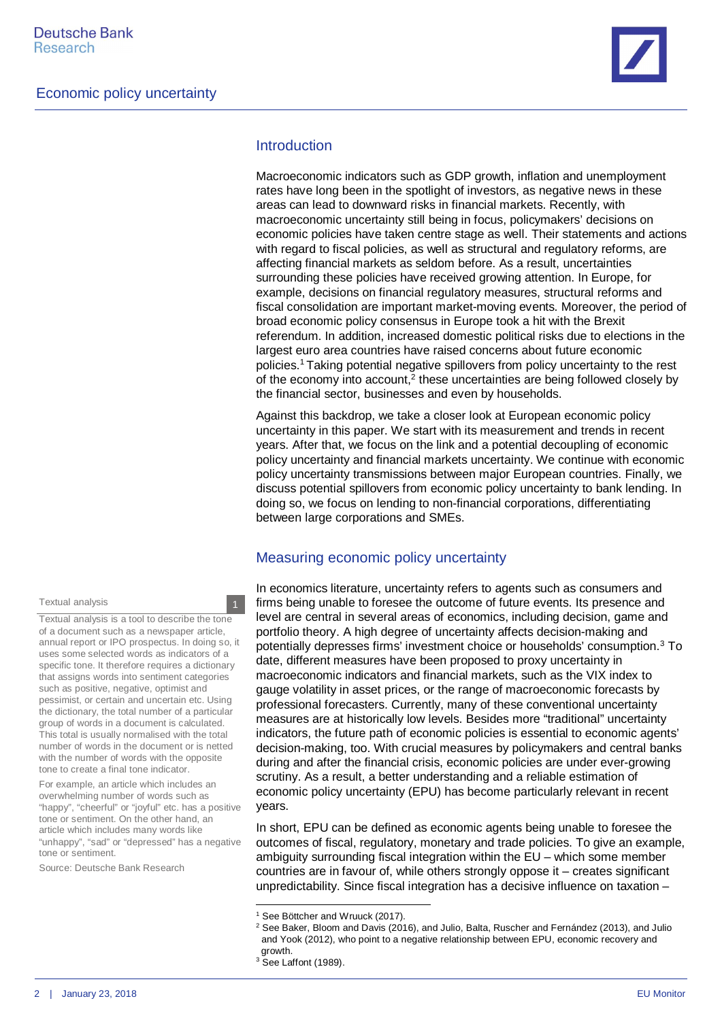

#### **Introduction**

Macroeconomic indicators such as GDP growth, inflation and unemployment rates have long been in the spotlight of investors, as negative news in these areas can lead to downward risks in financial markets. Recently, with macroeconomic uncertainty still being in focus, policymakers' decisions on economic policies have taken centre stage as well. Their statements and actions with regard to fiscal policies, as well as structural and regulatory reforms, are affecting financial markets as seldom before. As a result, uncertainties surrounding these policies have received growing attention. In Europe, for example, decisions on financial regulatory measures, structural reforms and fiscal consolidation are important market-moving events. Moreover, the period of broad economic policy consensus in Europe took a hit with the Brexit referendum. In addition, increased domestic political risks due to elections in the largest euro area countries have raised concerns about future economic policies.[1](#page-1-0) Taking potential negative spillovers from policy uncertainty to the rest of the economy into account,<sup>[2](#page-1-1)</sup> these uncertainties are being followed closely by the financial sector, businesses and even by households.

Against this backdrop, we take a closer look at European economic policy uncertainty in this paper. We start with its measurement and trends in recent years. After that, we focus on the link and a potential decoupling of economic policy uncertainty and financial markets uncertainty. We continue with economic policy uncertainty transmissions between major European countries. Finally, we discuss potential spillovers from economic policy uncertainty to bank lending. In doing so, we focus on lending to non-financial corporations, differentiating between large corporations and SMEs.

#### Measuring economic policy uncertainty

In economics literature, uncertainty refers to agents such as consumers and firms being unable to foresee the outcome of future events. Its presence and level are central in several areas of economics, including decision, game and portfolio theory. A high degree of uncertainty affects decision-making and potentially depresses firms' investment choice or households' consumption.<sup>[3](#page-1-2)</sup> To date, different measures have been proposed to proxy uncertainty in macroeconomic indicators and financial markets, such as the VIX index to gauge volatility in asset prices, or the range of macroeconomic forecasts by professional forecasters. Currently, many of these conventional uncertainty measures are at historically low levels. Besides more "traditional" uncertainty indicators, the future path of economic policies is essential to economic agents' decision-making, too. With crucial measures by policymakers and central banks during and after the financial crisis, economic policies are under ever-growing scrutiny. As a result, a better understanding and a reliable estimation of economic policy uncertainty (EPU) has become particularly relevant in recent years.

In short, EPU can be defined as economic agents being unable to foresee the outcomes of fiscal, regulatory, monetary and trade policies. To give an example, ambiguity surrounding fiscal integration within the EU – which some member countries are in favour of, while others strongly oppose it – creates significant unpredictability. Since fiscal integration has a decisive influence on taxation –

Textual analysis is a tool to describe the tone of a document such as a newspaper article, annual report or IPO prospectus. In doing so, it uses some selected words as indicators of a specific tone. It therefore requires a dictionary that assigns words into sentiment categories such as positive, negative, optimist and pessimist, or certain and uncertain etc. Using the dictionary, the total number of a particular group of words in a document is calculated. This total is usually normalised with the total number of words in the document or is netted with the number of words with the opposite tone to create a final tone indicator.

For example, an article which includes an overwhelming number of words such as "happy", "cheerful" or "joyful" etc. has a positive tone or sentiment. On the other hand, an article which includes many words like "unhappy", "sad" or "depressed" has a negative tone or sentiment.

Source: Deutsche Bank Research

<span id="page-1-0"></span><sup>&</sup>lt;sup>1</sup> See Böttcher and Wruuck (2017).

<span id="page-1-1"></span> $^2$  See Baker, Bloom and Davis (2016), and Julio, Balta, Ruscher and Fernández (2013), and Julic and Yook (2012), who point to a negative relationship between EPU, economic recovery and growth.

<span id="page-1-2"></span><sup>&</sup>lt;sup>3</sup> See Laffont (1989).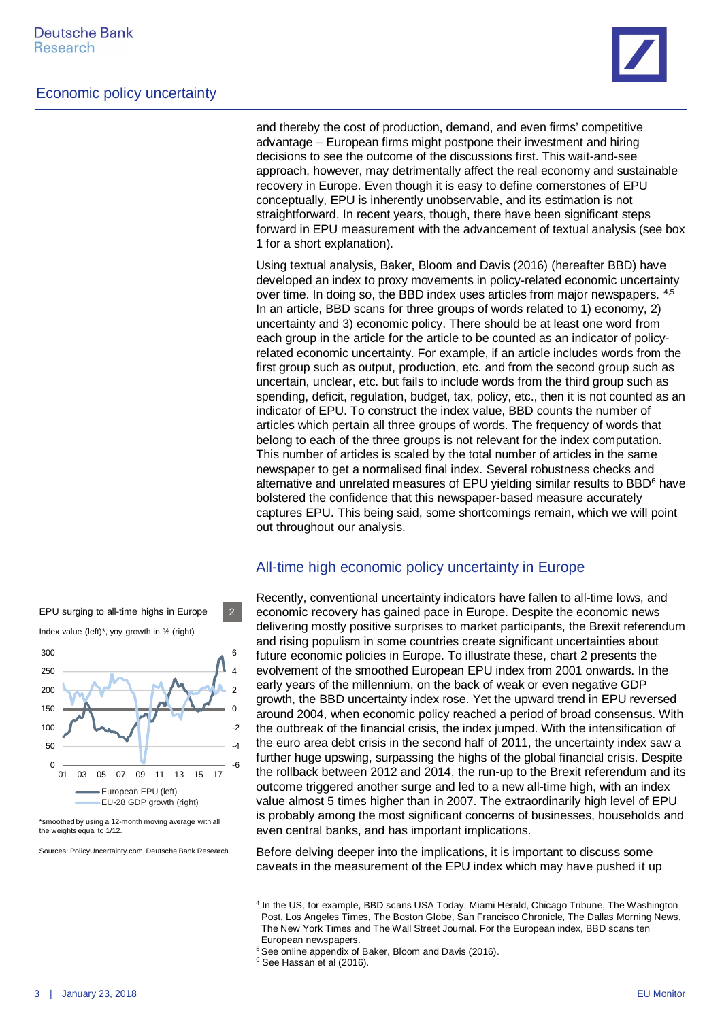

and thereby the cost of production, demand, and even firms' competitive advantage – European firms might postpone their investment and hiring decisions to see the outcome of the discussions first. This wait-and-see approach, however, may detrimentally affect the real economy and sustainable recovery in Europe. Even though it is easy to define cornerstones of EPU conceptually, EPU is inherently unobservable, and its estimation is not straightforward. In recent years, though, there have been significant steps forward in EPU measurement with the advancement of textual analysis (see box 1 for a short explanation).

Using textual analysis, Baker, Bloom and Davis (2016) (hereafter BBD) have developed an index to proxy movements in policy-related economic uncertainty over time. In doing so, the BBD index uses articles from major newspapers. [4](#page-2-0),[5](#page-2-1) In an article, BBD scans for three groups of words related to 1) economy, 2) uncertainty and 3) economic policy. There should be at least one word from each group in the article for the article to be counted as an indicator of policyrelated economic uncertainty. For example, if an article includes words from the first group such as output, production, etc. and from the second group such as uncertain, unclear, etc. but fails to include words from the third group such as spending, deficit, regulation, budget, tax, policy, etc., then it is not counted as an indicator of EPU. To construct the index value, BBD counts the number of articles which pertain all three groups of words. The frequency of words that belong to each of the three groups is not relevant for the index computation. This number of articles is scaled by the total number of articles in the same newspaper to get a normalised final index. Several robustness checks and alternative and unrelated measures of EPU yielding similar results to BBD<sup>[6](#page-2-2)</sup> have bolstered the confidence that this newspaper-based measure accurately captures EPU. This being said, some shortcomings remain, which we will point out throughout our analysis.

#### All-time high economic policy uncertainty in Europe

Recently, conventional uncertainty indicators have fallen to all-time lows, and economic recovery has gained pace in Europe. Despite the economic news delivering mostly positive surprises to market participants, the Brexit referendum and rising populism in some countries create significant uncertainties about future economic policies in Europe. To illustrate these, chart 2 presents the evolvement of the smoothed European EPU index from 2001 onwards. In the early years of the millennium, on the back of weak or even negative GDP growth, the BBD uncertainty index rose. Yet the upward trend in EPU reversed around 2004, when economic policy reached a period of broad consensus. With the outbreak of the financial crisis, the index jumped. With the intensification of the euro area debt crisis in the second half of 2011, the uncertainty index saw a further huge upswing, surpassing the highs of the global financial crisis. Despite the rollback between 2012 and 2014, the run-up to the Brexit referendum and its outcome triggered another surge and led to a new all-time high, with an index value almost 5 times higher than in 2007. The extraordinarily high level of EPU is probably among the most significant concerns of businesses, households and even central banks, and has important implications.

Before delving deeper into the implications, it is important to discuss some caveats in the measurement of the EPU index which may have pushed it up



\*smoothed by using a 12-month moving average with all the weights equal to 1/12.

Sources: PolicyUncertainty.com, Deutsche Bank Research

<span id="page-2-0"></span><sup>4</sup> In the US, for example, BBD scans USA Today, Miami Herald, Chicago Tribune, The Washington Post, Los Angeles Times, The Boston Globe, San Francisco Chronicle, The Dallas Morning News, The New York Times and The Wall Street Journal. For the European index, BBD scans ten European newspapers.

<span id="page-2-1"></span><sup>&</sup>lt;sup>5</sup> See online appendix of Baker, Bloom and Davis (2016).

<span id="page-2-2"></span><sup>6</sup> See Hassan et al (2016).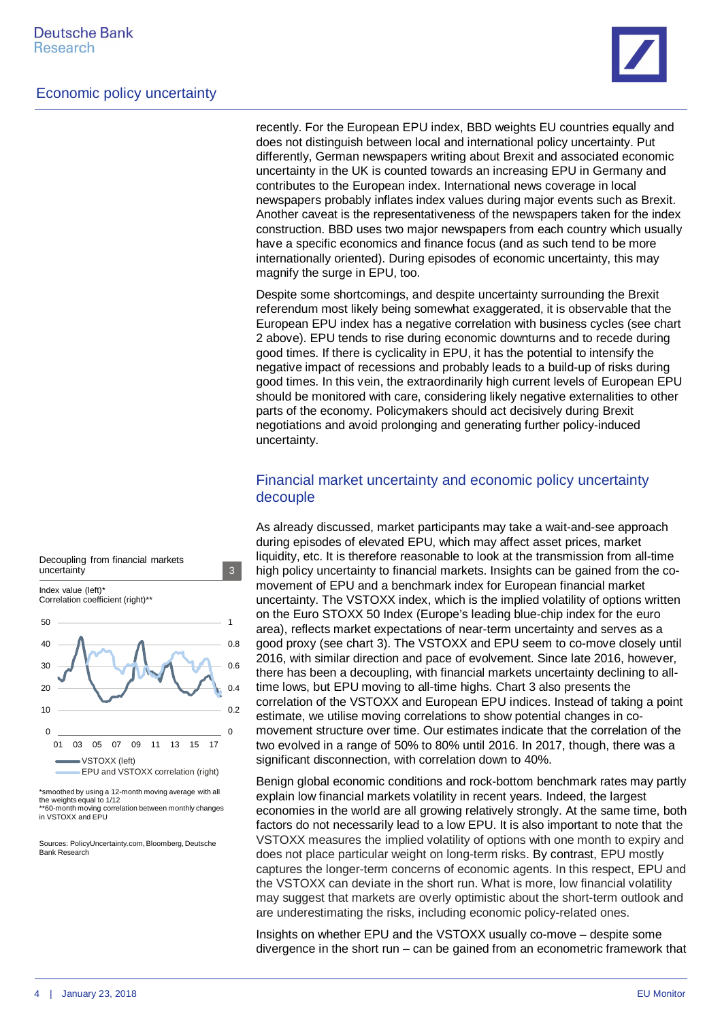

recently. For the European EPU index, BBD weights EU countries equally and does not distinguish between local and international policy uncertainty. Put differently, German newspapers writing about Brexit and associated economic uncertainty in the UK is counted towards an increasing EPU in Germany and contributes to the European index. International news coverage in local newspapers probably inflates index values during major events such as Brexit. Another caveat is the representativeness of the newspapers taken for the index construction. BBD uses two major newspapers from each country which usually have a specific economics and finance focus (and as such tend to be more internationally oriented). During episodes of economic uncertainty, this may magnify the surge in EPU, too.

Despite some shortcomings, and despite uncertainty surrounding the Brexit referendum most likely being somewhat exaggerated, it is observable that the European EPU index has a negative correlation with business cycles (see chart 2 above). EPU tends to rise during economic downturns and to recede during good times. If there is cyclicality in EPU, it has the potential to intensify the negative impact of recessions and probably leads to a build-up of risks during good times. In this vein, the extraordinarily high current levels of European EPU should be monitored with care, considering likely negative externalities to other parts of the economy. Policymakers should act decisively during Brexit negotiations and avoid prolonging and generating further policy-induced uncertainty.

#### Financial market uncertainty and economic policy uncertainty decouple

As already discussed, market participants may take a wait-and-see approach during episodes of elevated EPU, which may affect asset prices, market liquidity, etc. It is therefore reasonable to look at the transmission from all-time high policy uncertainty to financial markets. Insights can be gained from the comovement of EPU and a benchmark index for European financial market uncertainty. The VSTOXX index, which is the implied volatility of options written on the Euro STOXX 50 Index (Europe's leading blue-chip index for the euro area), reflects market expectations of near-term uncertainty and serves as a good proxy (see chart 3). The VSTOXX and EPU seem to co-move closely until 2016, with similar direction and pace of evolvement. Since late 2016, however, there has been a decoupling, with financial markets uncertainty declining to alltime lows, but EPU moving to all-time highs. Chart 3 also presents the correlation of the VSTOXX and European EPU indices. Instead of taking a point estimate, we utilise moving correlations to show potential changes in comovement structure over time. Our estimates indicate that the correlation of the two evolved in a range of 50% to 80% until 2016. In 2017, though, there was a significant disconnection, with correlation down to 40%.

Benign global economic conditions and rock-bottom benchmark rates may partly explain low financial markets volatility in recent years. Indeed, the largest economies in the world are all growing relatively strongly. At the same time, both factors do not necessarily lead to a low EPU. It is also important to note that the VSTOXX measures the implied volatility of options with one month to expiry and does not place particular weight on long-term risks. By contrast, EPU mostly captures the longer-term concerns of economic agents. In this respect, EPU and the VSTOXX can deviate in the short run. What is more, low financial volatility may suggest that markets are overly optimistic about the short-term outlook and are underestimating the risks, including economic policy-related ones.

Insights on whether EPU and the VSTOXX usually co-move – despite some divergence in the short run – can be gained from an econometric framework that



Decoupling from financial markets

\*smoothed by using a 12-month moving average with all the weights equal to 1/12 \*\*60-month moving correlation between monthly changes in VSTOXX and EPU

Sources: PolicyUncertainty.com, Bloomberg, Deutsche Bank Research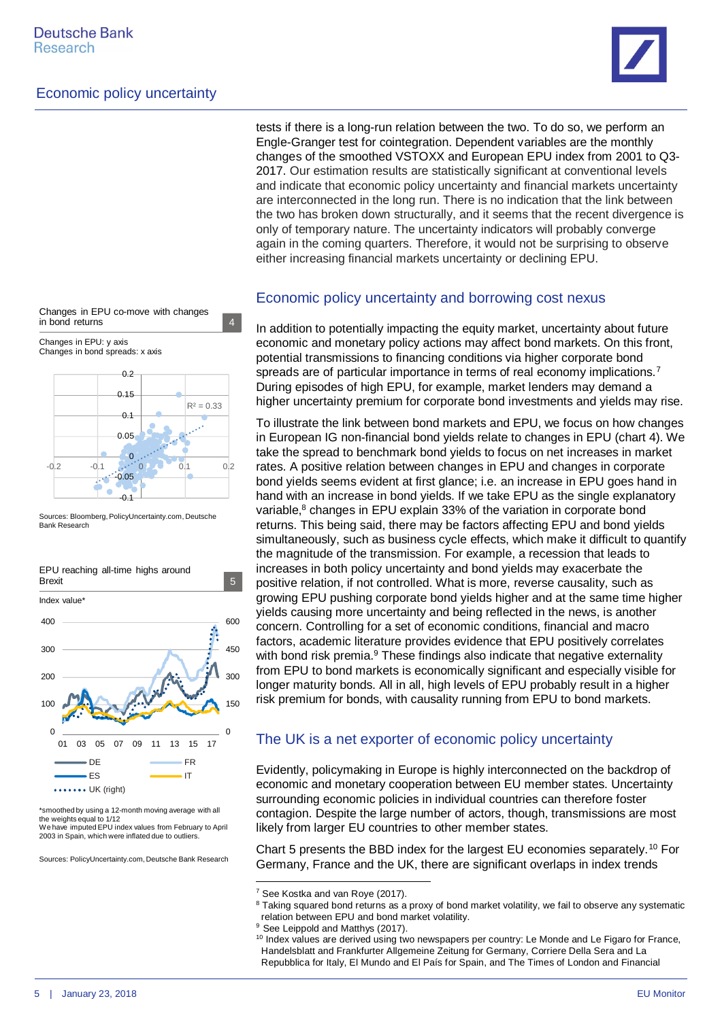

2017. Our estimation results are statistically significant at conventional levels and indicate that economic policy uncertainty and financial markets uncertainty are interconnected in the long run. There is no indication that the link between the two has broken down structurally, and it seems that the recent divergence is only of temporary nature. The uncertainty indicators will probably converge again in the coming quarters. Therefore, it would not be surprising to observe either increasing financial markets uncertainty or declining EPU.



Changes in EPU: y axis Changes in bond spreads: x axis



Sources: Bloomberg, PolicyUncertainty.com, Deutsche Bank Research



\*smoothed by using a 12-month moving average with all the weights equal to 1/12

We have imputed EPU index values from February to April 2003 in Spain, which were inflated due to outliers.

Sources: PolicyUncertainty.com, Deutsche Bank Research

Economic policy uncertainty and borrowing cost nexus

In addition to potentially impacting the equity market, uncertainty about future economic and monetary policy actions may affect bond markets. On this front, potential transmissions to financing conditions via higher corporate bond spreads are of particular importance in terms of real economy implications.<sup>[7](#page-4-0)</sup> During episodes of high EPU, for example, market lenders may demand a higher uncertainty premium for corporate bond investments and yields may rise.

tests if there is a long-run relation between the two. To do so, we perform an Engle-Granger test for cointegration. Dependent variables are the monthly changes of the smoothed VSTOXX and European EPU index from 2001 to Q3-

To illustrate the link between bond markets and EPU, we focus on how changes in European IG non-financial bond yields relate to changes in EPU (chart 4). We take the spread to benchmark bond yields to focus on net increases in market rates. A positive relation between changes in EPU and changes in corporate bond yields seems evident at first glance; i.e. an increase in EPU goes hand in hand with an increase in bond yields. If we take EPU as the single explanatory variable,<sup>[8](#page-4-1)</sup> changes in EPU explain 33% of the variation in corporate bond returns. This being said, there may be factors affecting EPU and bond yields simultaneously, such as business cycle effects, which make it difficult to quantify the magnitude of the transmission. For example, a recession that leads to increases in both policy uncertainty and bond yields may exacerbate the positive relation, if not controlled. What is more, reverse causality, such as growing EPU pushing corporate bond yields higher and at the same time higher yields causing more uncertainty and being reflected in the news, is another concern. Controlling for a set of economic conditions, financial and macro factors, academic literature provides evidence that EPU positively correlates with bond risk premia.<sup>[9](#page-4-2)</sup> These findings also indicate that negative externality from EPU to bond markets is economically significant and especially visible for longer maturity bonds. All in all, high levels of EPU probably result in a higher risk premium for bonds, with causality running from EPU to bond markets.

#### The UK is a net exporter of economic policy uncertainty

Evidently, policymaking in Europe is highly interconnected on the backdrop of economic and monetary cooperation between EU member states. Uncertainty surrounding economic policies in individual countries can therefore foster contagion. Despite the large number of actors, though, transmissions are most likely from larger EU countries to other member states.

Chart 5 presents the BBD index for the largest EU economies separately.[10](#page-4-3) For Germany, France and the UK, there are significant overlaps in index trends

<span id="page-4-0"></span><sup>&</sup>lt;sup>7</sup> See Kostka and van Roye (2017).

<span id="page-4-1"></span><sup>&</sup>lt;sup>8</sup> Taking squared bond returns as a proxy of bond market volatility, we fail to observe any systematic relation between EPU and bond market volatility.

<span id="page-4-2"></span><sup>&</sup>lt;sup>9</sup> See Leippold and Matthys (2017).

<span id="page-4-3"></span><sup>&</sup>lt;sup>10</sup> Index values are derived using two newspapers per country: Le Monde and Le Figaro for France, Handelsblatt and Frankfurter Allgemeine Zeitung for Germany, Corriere Della Sera and La Repubblica for Italy, El Mundo and El País for Spain, and The Times of London and Financial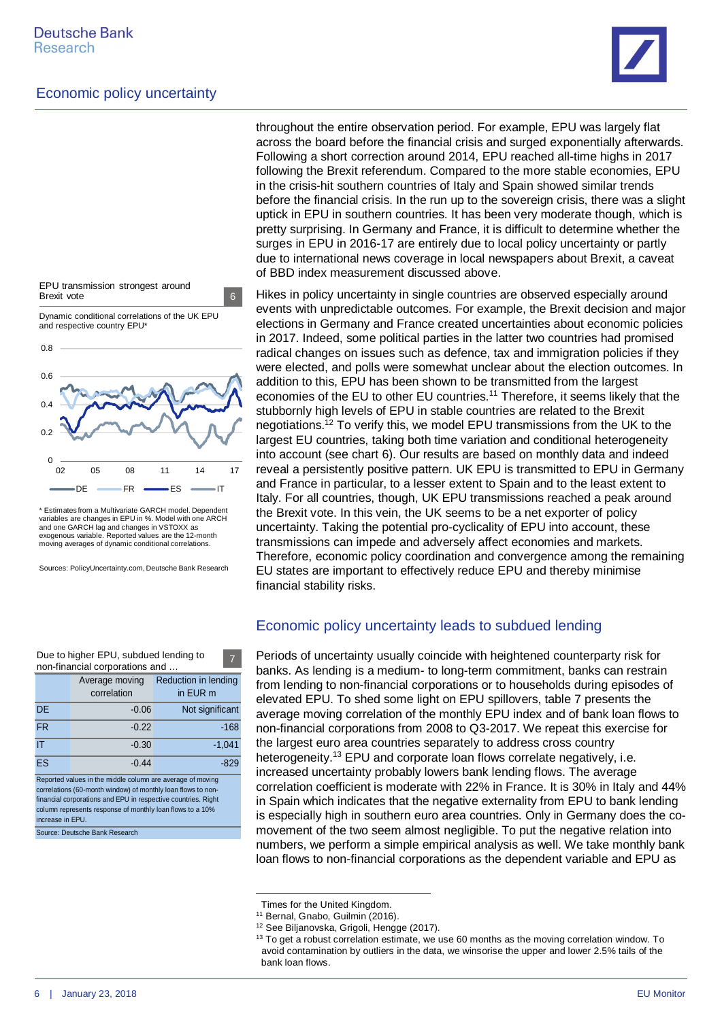

EPU transmission strongest around Brexit vote 6

Dynamic conditional correlations of the UK EPU and respective country EPU\*



\* Estimates from a Multivariate GARCH model. Dependent variables are changes in EPU in %. Model with one ARCH and one GARCH lag and changes in VSTOXX as exogenous variable. Reported values are the 12-month moving averages of dynamic conditional correlations.

Sources: PolicyUncertainty.com, Deutsche Bank Research

| Due to higher EPU, subdued lending to<br>7<br>non-financial corporations and                                                                                                                |                               |                                  |  |  |
|---------------------------------------------------------------------------------------------------------------------------------------------------------------------------------------------|-------------------------------|----------------------------------|--|--|
|                                                                                                                                                                                             | Average moving<br>correlation | Reduction in lending<br>in EUR m |  |  |
| <b>DE</b>                                                                                                                                                                                   | $-0.06$                       | Not significant                  |  |  |
| <b>FR</b>                                                                                                                                                                                   | $-0.22$                       | $-168$                           |  |  |
| IT                                                                                                                                                                                          | $-0.30$                       | $-1.041$                         |  |  |
| ES                                                                                                                                                                                          | $-0.44$                       | -829                             |  |  |
| Reported values in the middle column are average of moving<br>correlations (60-month window) of monthly loan flows to non-<br>financial corporations and EPU in respective countries. Right |                               |                                  |  |  |

column represents response of monthly loan flows to a 10% increase in EPU.

Source: Deutsche Bank Research

throughout the entire observation period. For example, EPU was largely flat across the board before the financial crisis and surged exponentially afterwards. Following a short correction around 2014, EPU reached all-time highs in 2017 following the Brexit referendum. Compared to the more stable economies, EPU in the crisis-hit southern countries of Italy and Spain showed similar trends before the financial crisis. In the run up to the sovereign crisis, there was a slight uptick in EPU in southern countries. It has been very moderate though, which is pretty surprising. In Germany and France, it is difficult to determine whether the surges in EPU in 2016-17 are entirely due to local policy uncertainty or partly due to international news coverage in local newspapers about Brexit, a caveat of BBD index measurement discussed above.

Hikes in policy uncertainty in single countries are observed especially around events with unpredictable outcomes. For example, the Brexit decision and major elections in Germany and France created uncertainties about economic policies in 2017. Indeed, some political parties in the latter two countries had promised radical changes on issues such as defence, tax and immigration policies if they were elected, and polls were somewhat unclear about the election outcomes. In addition to this, EPU has been shown to be transmitted from the largest economies of the EU to other EU countries.<sup>[11](#page-5-0)</sup> Therefore, it seems likely that the stubbornly high levels of EPU in stable countries are related to the Brexit negotiations.[12](#page-5-1) To verify this, we model EPU transmissions from the UK to the largest EU countries, taking both time variation and conditional heterogeneity into account (see chart 6). Our results are based on monthly data and indeed reveal a persistently positive pattern. UK EPU is transmitted to EPU in Germany and France in particular, to a lesser extent to Spain and to the least extent to Italy. For all countries, though, UK EPU transmissions reached a peak around the Brexit vote. In this vein, the UK seems to be a net exporter of policy uncertainty. Taking the potential pro-cyclicality of EPU into account, these transmissions can impede and adversely affect economies and markets. Therefore, economic policy coordination and convergence among the remaining EU states are important to effectively reduce EPU and thereby minimise financial stability risks.

#### Economic policy uncertainty leads to subdued lending

Periods of uncertainty usually coincide with heightened counterparty risk for banks. As lending is a medium- to long-term commitment, banks can restrain from lending to non-financial corporations or to households during episodes of elevated EPU. To shed some light on EPU spillovers, table 7 presents the average moving correlation of the monthly EPU index and of bank loan flows to non-financial corporations from 2008 to Q3-2017. We repeat this exercise for the largest euro area countries separately to address cross country heterogeneity.[13](#page-5-2) EPU and corporate loan flows correlate negatively, i.e. increased uncertainty probably lowers bank lending flows. The average correlation coefficient is moderate with 22% in France. It is 30% in Italy and 44% in Spain which indicates that the negative externality from EPU to bank lending is especially high in southern euro area countries. Only in Germany does the comovement of the two seem almost negligible. To put the negative relation into numbers, we perform a simple empirical analysis as well. We take monthly bank loan flows to non-financial corporations as the dependent variable and EPU as

Times for the United Kingdom.

<span id="page-5-0"></span><sup>&</sup>lt;sup>11</sup> Bernal, Gnabo, Guilmin (2016).

<span id="page-5-1"></span><sup>12</sup> See Biljanovska, Grigoli, Hengge (2017).

<span id="page-5-2"></span><sup>&</sup>lt;sup>13</sup> To get a robust correlation estimate, we use 60 months as the moving correlation window. To avoid contamination by outliers in the data, we winsorise the upper and lower 2.5% tails of the bank loan flows.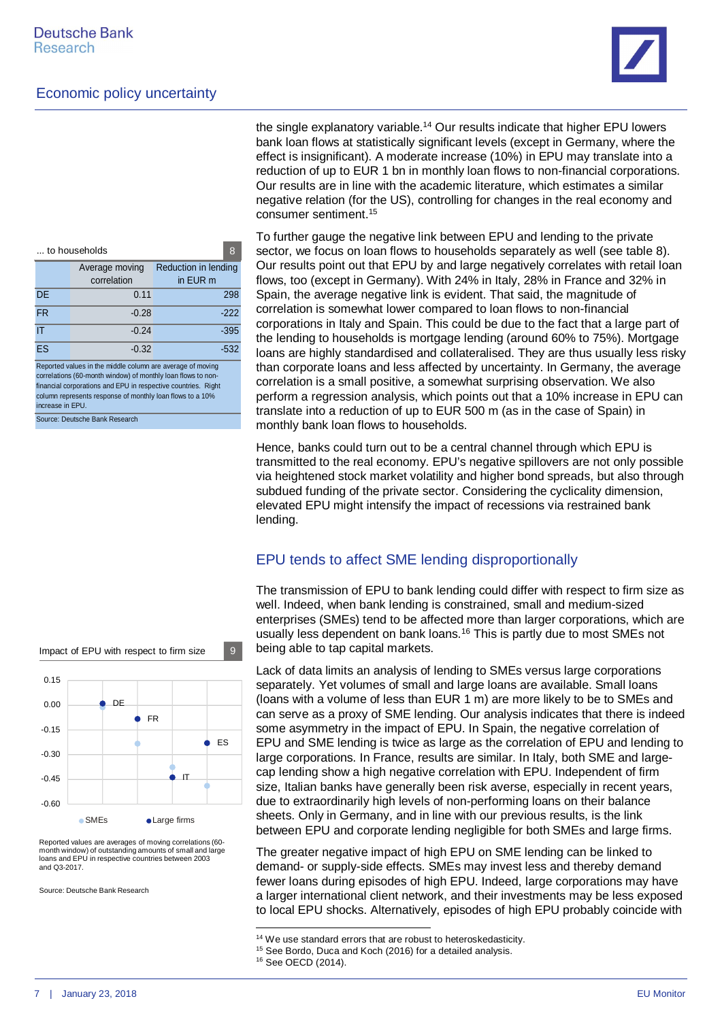

the single explanatory variable.[14](#page-6-0) Our results indicate that higher EPU lowers bank loan flows at statistically significant levels (except in Germany, where the effect is insignificant). A moderate increase (10%) in EPU may translate into a reduction of up to EUR 1 bn in monthly loan flows to non-financial corporations. Our results are in line with the academic literature, which estimates a similar negative relation (for the US), controlling for changes in the real economy and consumer sentiment.[15](#page-6-1)

To further gauge the negative link between EPU and lending to the private sector, we focus on loan flows to households separately as well (see table 8). Our results point out that EPU by and large negatively correlates with retail loan flows, too (except in Germany). With 24% in Italy, 28% in France and 32% in Spain, the average negative link is evident. That said, the magnitude of correlation is somewhat lower compared to loan flows to non-financial corporations in Italy and Spain. This could be due to the fact that a large part of the lending to households is mortgage lending (around 60% to 75%). Mortgage loans are highly standardised and collateralised. They are thus usually less risky than corporate loans and less affected by uncertainty. In Germany, the average correlation is a small positive, a somewhat surprising observation. We also perform a regression analysis, which points out that a 10% increase in EPU can translate into a reduction of up to EUR 500 m (as in the case of Spain) in monthly bank loan flows to households.

Hence, banks could turn out to be a central channel through which EPU is transmitted to the real economy. EPU's negative spillovers are not only possible via heightened stock market volatility and higher bond spreads, but also through subdued funding of the private sector. Considering the cyclicality dimension, elevated EPU might intensify the impact of recessions via restrained bank lending.

#### EPU tends to affect SME lending disproportionally

The transmission of EPU to bank lending could differ with respect to firm size as well. Indeed, when bank lending is constrained, small and medium-sized enterprises (SMEs) tend to be affected more than larger corporations, which are usually less dependent on bank loans.[16](#page-6-2) This is partly due to most SMEs not being able to tap capital markets.

Lack of data limits an analysis of lending to SMEs versus large corporations separately. Yet volumes of small and large loans are available. Small loans (loans with a volume of less than EUR 1 m) are more likely to be to SMEs and can serve as a proxy of SME lending. Our analysis indicates that there is indeed some asymmetry in the impact of EPU. In Spain, the negative correlation of EPU and SME lending is twice as large as the correlation of EPU and lending to large corporations. In France, results are similar. In Italy, both SME and largecap lending show a high negative correlation with EPU. Independent of firm size, Italian banks have generally been risk averse, especially in recent years, due to extraordinarily high levels of non-performing loans on their balance sheets. Only in Germany, and in line with our previous results, is the link between EPU and corporate lending negligible for both SMEs and large firms.

The greater negative impact of high EPU on SME lending can be linked to demand- or supply-side effects. SMEs may invest less and thereby demand fewer loans during episodes of high EPU. Indeed, large corporations may have a larger international client network, and their investments may be less exposed to local EPU shocks. Alternatively, episodes of high EPU probably coincide with

| to households                                             |                |                      | 8      |  |
|-----------------------------------------------------------|----------------|----------------------|--------|--|
|                                                           | Average moving | Reduction in lending |        |  |
|                                                           | correlation    | in EUR m             |        |  |
| <b>DE</b>                                                 | 0.11           |                      | 298    |  |
| <b>FR</b>                                                 | $-0.28$        |                      | $-222$ |  |
| IT                                                        | $-0.24$        |                      | $-395$ |  |
| ES                                                        | $-0.32$        |                      | $-532$ |  |
| Denoted unline in the middle column are overgea of moving |                |                      |        |  |

Reported values in the middle column are average of moving correlations (60-month window) of monthly loan flows to nonfinancial corporations and EPU in respective countries. Right column represents response of monthly loan flows to a 10% increase in EPU. Source: Deutsche Bank Research

DE **S** FR IT  $\blacksquare$ ES -0.60  $-0.45$ -0.30  $-0.15$ 0.00 0.15 ● SMEs ● Large firms

Impact of EPU with respect to firm size  $\begin{array}{|c|} 9 \end{array}$ 

Reported values are averages of moving correlations (60 month window) of outstanding amounts of small and large loans and EPU in respective countries between 2003 and Q3-2017.

Source: Deutsche Bank Research

<span id="page-6-0"></span><sup>&</sup>lt;sup>14</sup> We use standard errors that are robust to heteroskedasticity.

<span id="page-6-1"></span><sup>&</sup>lt;sup>15</sup> See Bordo, Duca and Koch (2016) for a detailed analysis.

<span id="page-6-2"></span><sup>16</sup> See OECD (2014).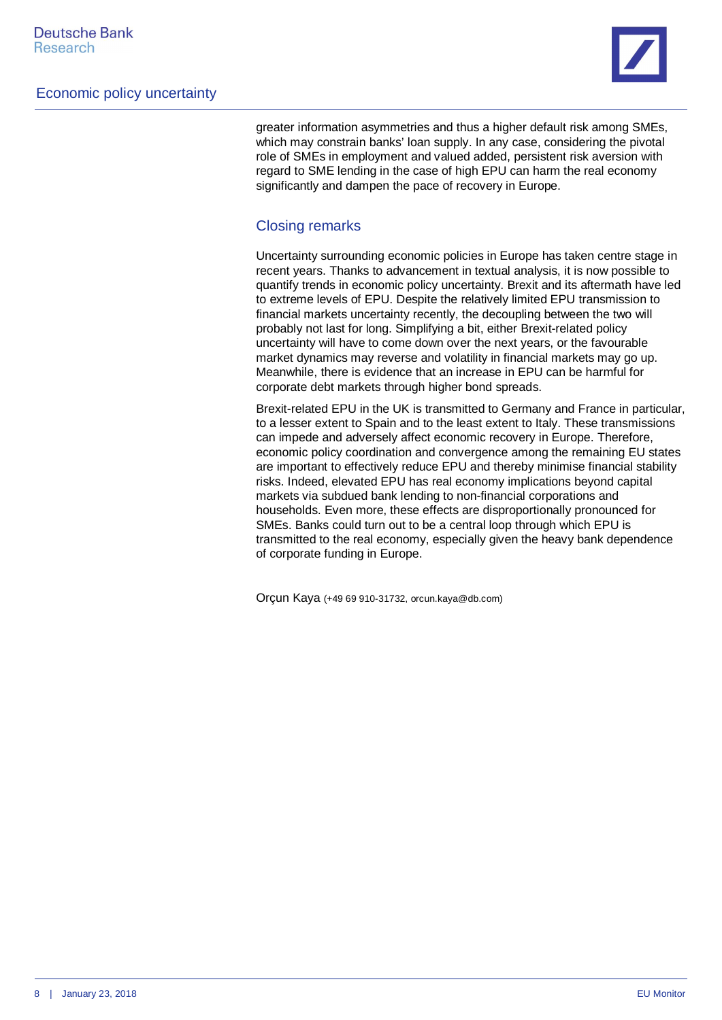

greater information asymmetries and thus a higher default risk among SMEs, which may constrain banks' loan supply. In any case, considering the pivotal role of SMEs in employment and valued added, persistent risk aversion with regard to SME lending in the case of high EPU can harm the real economy significantly and dampen the pace of recovery in Europe.

#### Closing remarks

Uncertainty surrounding economic policies in Europe has taken centre stage in recent years. Thanks to advancement in textual analysis, it is now possible to quantify trends in economic policy uncertainty. Brexit and its aftermath have led to extreme levels of EPU. Despite the relatively limited EPU transmission to financial markets uncertainty recently, the decoupling between the two will probably not last for long. Simplifying a bit, either Brexit-related policy uncertainty will have to come down over the next years, or the favourable market dynamics may reverse and volatility in financial markets may go up. Meanwhile, there is evidence that an increase in EPU can be harmful for corporate debt markets through higher bond spreads.

Brexit-related EPU in the UK is transmitted to Germany and France in particular, to a lesser extent to Spain and to the least extent to Italy. These transmissions can impede and adversely affect economic recovery in Europe. Therefore, economic policy coordination and convergence among the remaining EU states are important to effectively reduce EPU and thereby minimise financial stability risks. Indeed, elevated EPU has real economy implications beyond capital markets via subdued bank lending to non-financial corporations and households. Even more, these effects are disproportionally pronounced for SMEs. Banks could turn out to be a central loop through which EPU is transmitted to the real economy, especially given the heavy bank dependence of corporate funding in Europe.

Orçun Kaya (+49 69 910-31732, orcun.kaya@db.com)